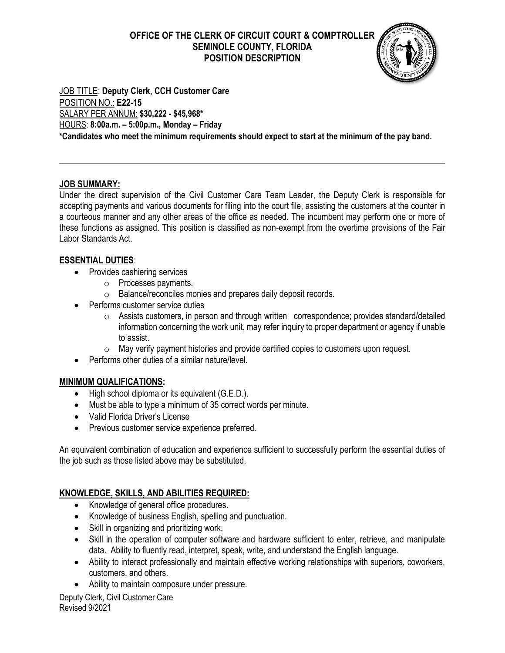## **OFFICE OF THE CLERK OF CIRCUIT COURT & COMPTROLLER SEMINOLE COUNTY, FLORIDA POSITION DESCRIPTION**



JOB TITLE: **Deputy Clerk, CCH Customer Care** POSITION NO.: **E22-15** SALARY PER ANNUM: **\$30,222 - \$45,968\*** HOURS: **8:00a.m. – 5:00p.m., Monday – Friday \*Candidates who meet the minimum requirements should expect to start at the minimum of the pay band.**

### **JOB SUMMARY:**

Under the direct supervision of the Civil Customer Care Team Leader, the Deputy Clerk is responsible for accepting payments and various documents for filing into the court file, assisting the customers at the counter in a courteous manner and any other areas of the office as needed. The incumbent may perform one or more of these functions as assigned. This position is classified as non-exempt from the overtime provisions of the Fair Labor Standards Act.

## **ESSENTIAL DUTIES**:

- Provides cashiering services
	- o Processes payments.
	- o Balance/reconciles monies and prepares daily deposit records.
- Performs customer service duties
	- o Assists customers, in person and through written correspondence; provides standard/detailed information concerning the work unit, may refer inquiry to proper department or agency if unable to assist.
	- o May verify payment histories and provide certified copies to customers upon request.
- Performs other duties of a similar nature/level.

# **MINIMUM QUALIFICATIONS:**

- High school diploma or its equivalent (G.E.D.).
- Must be able to type a minimum of 35 correct words per minute.
- Valid Florida Driver's License
- Previous customer service experience preferred.

An equivalent combination of education and experience sufficient to successfully perform the essential duties of the job such as those listed above may be substituted.

# **KNOWLEDGE, SKILLS, AND ABILITIES REQUIRED:**

- Knowledge of general office procedures.
- Knowledge of business English, spelling and punctuation.
- Skill in organizing and prioritizing work.
- Skill in the operation of computer software and hardware sufficient to enter, retrieve, and manipulate data. Ability to fluently read, interpret, speak, write, and understand the English language.
- Ability to interact professionally and maintain effective working relationships with superiors, coworkers, customers, and others.
- Ability to maintain composure under pressure.

Deputy Clerk, Civil Customer Care Revised 9/2021